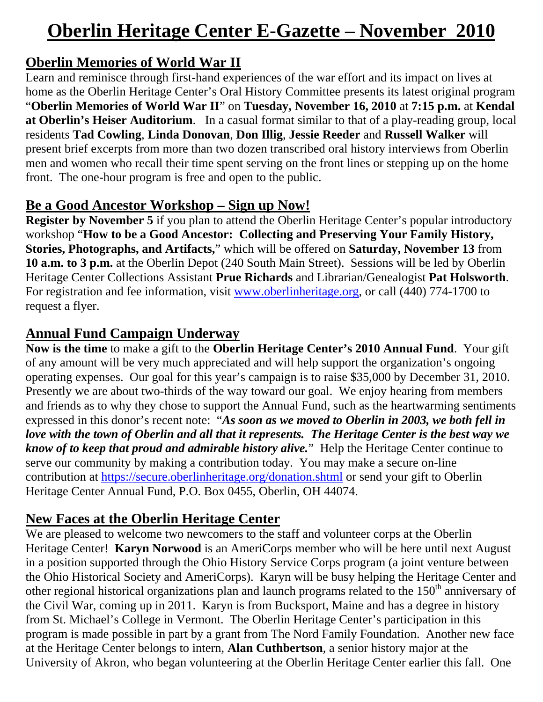# **Oberlin Heritage Center E-Gazette – November 2010**

## **Oberlin Memories of World War II**

Learn and reminisce through first-hand experiences of the war effort and its impact on lives at home as the Oberlin Heritage Center's Oral History Committee presents its latest original program "**Oberlin Memories of World War II**" on **Tuesday, November 16, 2010** at **7:15 p.m.** at **Kendal at Oberlin's Heiser Auditorium**. In a casual format similar to that of a play-reading group, local residents **Tad Cowling**, **Linda Donovan**, **Don Illig**, **Jessie Reeder** and **Russell Walker** will present brief excerpts from more than two dozen transcribed oral history interviews from Oberlin men and women who recall their time spent serving on the front lines or stepping up on the home front. The one-hour program is free and open to the public.

## **Be a Good Ancestor Workshop – Sign up Now!**

**Register by November 5** if you plan to attend the Oberlin Heritage Center's popular introductory workshop "**How to be a Good Ancestor: Collecting and Preserving Your Family History, Stories, Photographs, and Artifacts,**" which will be offered on **Saturday, November 13** from **10 a.m. to 3 p.m.** at the Oberlin Depot (240 South Main Street). Sessions will be led by Oberlin Heritage Center Collections Assistant **Prue Richards** and Librarian/Genealogist **Pat Holsworth**. For registration and fee information, visit www.oberlinheritage.org, or call (440) 774-1700 to request a flyer.

## **Annual Fund Campaign Underway**

**Now is the time** to make a gift to the **Oberlin Heritage Center's 2010 Annual Fund**. Your gift of any amount will be very much appreciated and will help support the organization's ongoing operating expenses. Our goal for this year's campaign is to raise \$35,000 by December 31, 2010. Presently we are about two-thirds of the way toward our goal. We enjoy hearing from members and friends as to why they chose to support the Annual Fund, such as the heartwarming sentiments expressed in this donor's recent note: "*As soon as we moved to Oberlin in 2003, we both fell in love with the town of Oberlin and all that it represents. The Heritage Center is the best way we know of to keep that proud and admirable history alive.*"Help the Heritage Center continue to serve our community by making a contribution today. You may make a secure on-line contribution at https://secure.oberlinheritage.org/donation.shtml or send your gift to Oberlin Heritage Center Annual Fund, P.O. Box 0455, Oberlin, OH 44074.

# **New Faces at the Oberlin Heritage Center**

We are pleased to welcome two newcomers to the staff and volunteer corps at the Oberlin Heritage Center! **Karyn Norwood** is an AmeriCorps member who will be here until next August in a position supported through the Ohio History Service Corps program (a joint venture between the Ohio Historical Society and AmeriCorps). Karyn will be busy helping the Heritage Center and other regional historical organizations plan and launch programs related to the  $150<sup>th</sup>$  anniversary of the Civil War, coming up in 2011. Karyn is from Bucksport, Maine and has a degree in history from St. Michael's College in Vermont. The Oberlin Heritage Center's participation in this program is made possible in part by a grant from The Nord Family Foundation. Another new face at the Heritage Center belongs to intern, **Alan Cuthbertson**, a senior history major at the University of Akron, who began volunteering at the Oberlin Heritage Center earlier this fall. One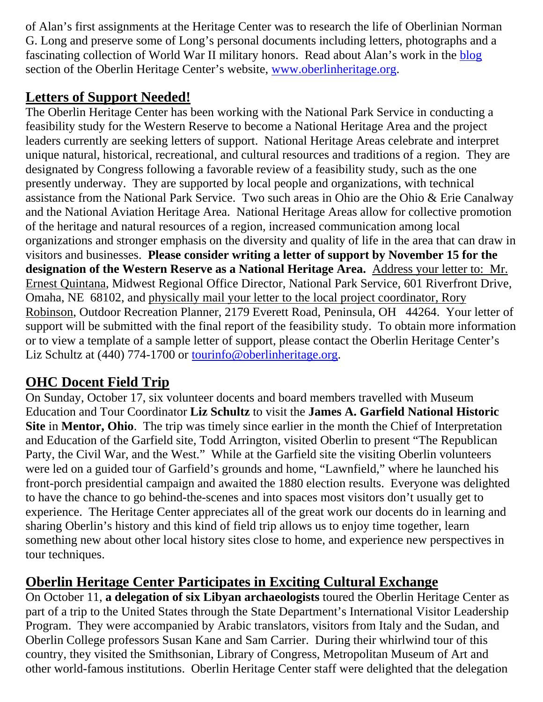of Alan's first assignments at the Heritage Center was to research the life of Oberlinian Norman G. Long and preserve some of Long's personal documents including letters, photographs and a fascinating collection of World War II military honors. Read about Alan's work in the blog section of the Oberlin Heritage Center's website, www.oberlinheritage.org.

## **Letters of Support Needed!**

The Oberlin Heritage Center has been working with the National Park Service in conducting a feasibility study for the Western Reserve to become a National Heritage Area and the project leaders currently are seeking letters of support. National Heritage Areas celebrate and interpret unique natural, historical, recreational, and cultural resources and traditions of a region. They are designated by Congress following a favorable review of a feasibility study, such as the one presently underway. They are supported by local people and organizations, with technical assistance from the National Park Service. Two such areas in Ohio are the Ohio & Erie Canalway and the National Aviation Heritage Area. National Heritage Areas allow for collective promotion of the heritage and natural resources of a region, increased communication among local organizations and stronger emphasis on the diversity and quality of life in the area that can draw in visitors and businesses. **Please consider writing a letter of support by November 15 for the designation of the Western Reserve as a National Heritage Area.** Address your letter to: Mr. Ernest Quintana, Midwest Regional Office Director, National Park Service, 601 Riverfront Drive, Omaha, NE 68102, and physically mail your letter to the local project coordinator, Rory Robinson, Outdoor Recreation Planner, 2179 Everett Road, Peninsula, OH 44264. Your letter of support will be submitted with the final report of the feasibility study. To obtain more information or to view a template of a sample letter of support, please contact the Oberlin Heritage Center's Liz Schultz at (440) 774-1700 or tourinfo@oberlinheritage.org.

## **OHC Docent Field Trip**

On Sunday, October 17, six volunteer docents and board members travelled with Museum Education and Tour Coordinator **Liz Schultz** to visit the **James A. Garfield National Historic Site** in **Mentor, Ohio**. The trip was timely since earlier in the month the Chief of Interpretation and Education of the Garfield site, Todd Arrington, visited Oberlin to present "The Republican Party, the Civil War, and the West." While at the Garfield site the visiting Oberlin volunteers were led on a guided tour of Garfield's grounds and home, "Lawnfield," where he launched his front-porch presidential campaign and awaited the 1880 election results. Everyone was delighted to have the chance to go behind-the-scenes and into spaces most visitors don't usually get to experience. The Heritage Center appreciates all of the great work our docents do in learning and sharing Oberlin's history and this kind of field trip allows us to enjoy time together, learn something new about other local history sites close to home, and experience new perspectives in tour techniques.

#### **Oberlin Heritage Center Participates in Exciting Cultural Exchange**

On October 11, **a delegation of six Libyan archaeologists** toured the Oberlin Heritage Center as part of a trip to the United States through the State Department's International Visitor Leadership Program. They were accompanied by Arabic translators, visitors from Italy and the Sudan, and Oberlin College professors Susan Kane and Sam Carrier. During their whirlwind tour of this country, they visited the Smithsonian, Library of Congress, Metropolitan Museum of Art and other world-famous institutions. Oberlin Heritage Center staff were delighted that the delegation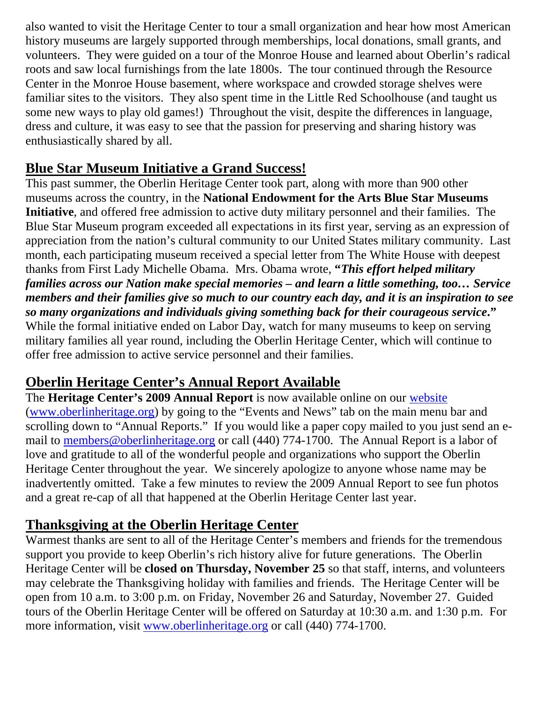also wanted to visit the Heritage Center to tour a small organization and hear how most American history museums are largely supported through memberships, local donations, small grants, and volunteers. They were guided on a tour of the Monroe House and learned about Oberlin's radical roots and saw local furnishings from the late 1800s. The tour continued through the Resource Center in the Monroe House basement, where workspace and crowded storage shelves were familiar sites to the visitors. They also spent time in the Little Red Schoolhouse (and taught us some new ways to play old games!) Throughout the visit, despite the differences in language, dress and culture, it was easy to see that the passion for preserving and sharing history was enthusiastically shared by all.

#### **Blue Star Museum Initiative a Grand Success!**

This past summer, the Oberlin Heritage Center took part, along with more than 900 other museums across the country, in the **National Endowment for the Arts Blue Star Museums Initiative**, and offered free admission to active duty military personnel and their families. The Blue Star Museum program exceeded all expectations in its first year, serving as an expression of appreciation from the nation's cultural community to our United States military community. Last month, each participating museum received a special letter from The White House with deepest thanks from First Lady Michelle Obama. Mrs. Obama wrote, **"***This effort helped military families across our Nation make special memories – and learn a little something, too… Service members and their families give so much to our country each day, and it is an inspiration to see so many organizations and individuals giving something back for their courageous service***."** While the formal initiative ended on Labor Day, watch for many museums to keep on serving military families all year round, including the Oberlin Heritage Center, which will continue to offer free admission to active service personnel and their families.

# **Oberlin Heritage Center's Annual Report Available**

The **Heritage Center's 2009 Annual Report** is now available online on our website (www.oberlinheritage.org) by going to the "Events and News" tab on the main menu bar and scrolling down to "Annual Reports." If you would like a paper copy mailed to you just send an email to members@oberlinheritage.org or call (440) 774-1700. The Annual Report is a labor of love and gratitude to all of the wonderful people and organizations who support the Oberlin Heritage Center throughout the year. We sincerely apologize to anyone whose name may be inadvertently omitted. Take a few minutes to review the 2009 Annual Report to see fun photos and a great re-cap of all that happened at the Oberlin Heritage Center last year.

# **Thanksgiving at the Oberlin Heritage Center**

Warmest thanks are sent to all of the Heritage Center's members and friends for the tremendous support you provide to keep Oberlin's rich history alive for future generations. The Oberlin Heritage Center will be **closed on Thursday, November 25** so that staff, interns, and volunteers may celebrate the Thanksgiving holiday with families and friends. The Heritage Center will be open from 10 a.m. to 3:00 p.m. on Friday, November 26 and Saturday, November 27. Guided tours of the Oberlin Heritage Center will be offered on Saturday at 10:30 a.m. and 1:30 p.m. For more information, visit www.oberlinheritage.org or call (440) 774-1700.